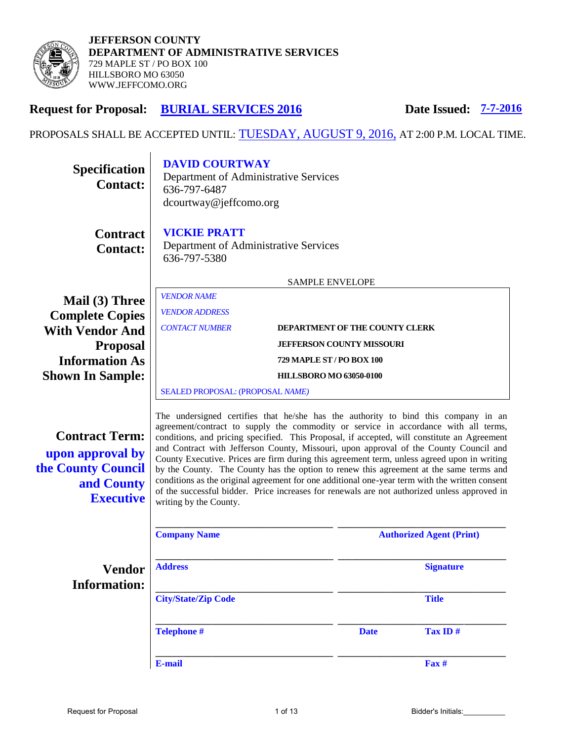

# **Request for Proposal: BURIAL SERVICES 2016 Date Issued: 7-7-2016**

PROPOSALS SHALL BE ACCEPTED UNTIL: TUESDAY, AUGUST 9, 2016, AT 2:00 P.M. LOCAL TIME.

| <b>Specification</b><br><b>Contact:</b>                                                           | <b>DAVID COURTWAY</b><br>Department of Administrative Services<br>636-797-6487<br>dcourtway@jeffcomo.org                                                                                                                                                                                                                                                                                                                                                                                                                                                                                                                                                                                                                                                                               |                                |                                |                                 |
|---------------------------------------------------------------------------------------------------|----------------------------------------------------------------------------------------------------------------------------------------------------------------------------------------------------------------------------------------------------------------------------------------------------------------------------------------------------------------------------------------------------------------------------------------------------------------------------------------------------------------------------------------------------------------------------------------------------------------------------------------------------------------------------------------------------------------------------------------------------------------------------------------|--------------------------------|--------------------------------|---------------------------------|
| <b>Contract</b><br><b>Contact:</b>                                                                | <b>VICKIE PRATT</b><br>Department of Administrative Services<br>636-797-5380                                                                                                                                                                                                                                                                                                                                                                                                                                                                                                                                                                                                                                                                                                           |                                |                                |                                 |
|                                                                                                   | <b>SAMPLE ENVELOPE</b>                                                                                                                                                                                                                                                                                                                                                                                                                                                                                                                                                                                                                                                                                                                                                                 |                                |                                |                                 |
| Mail (3) Three<br><b>Complete Copies</b>                                                          | <b>VENDOR NAME</b><br><b>VENDOR ADDRESS</b>                                                                                                                                                                                                                                                                                                                                                                                                                                                                                                                                                                                                                                                                                                                                            |                                |                                |                                 |
| <b>With Vendor And</b>                                                                            | <b>CONTACT NUMBER</b>                                                                                                                                                                                                                                                                                                                                                                                                                                                                                                                                                                                                                                                                                                                                                                  |                                | DEPARTMENT OF THE COUNTY CLERK |                                 |
| <b>Proposal</b><br><b>Information As</b>                                                          | <b>JEFFERSON COUNTY MISSOURI</b><br>729 MAPLE ST / PO BOX 100                                                                                                                                                                                                                                                                                                                                                                                                                                                                                                                                                                                                                                                                                                                          |                                |                                |                                 |
| <b>Shown In Sample:</b>                                                                           |                                                                                                                                                                                                                                                                                                                                                                                                                                                                                                                                                                                                                                                                                                                                                                                        | <b>HILLSBORO MO 63050-0100</b> |                                |                                 |
|                                                                                                   | SEALED PROPOSAL: (PROPOSAL NAME)                                                                                                                                                                                                                                                                                                                                                                                                                                                                                                                                                                                                                                                                                                                                                       |                                |                                |                                 |
| <b>Contract Term:</b><br>upon approval by<br>the County Council<br>and County<br><b>Executive</b> | The undersigned certifies that he/she has the authority to bind this company in an<br>agreement/contract to supply the commodity or service in accordance with all terms,<br>conditions, and pricing specified. This Proposal, if accepted, will constitute an Agreement<br>and Contract with Jefferson County, Missouri, upon approval of the County Council and<br>County Executive. Prices are firm during this agreement term, unless agreed upon in writing<br>by the County. The County has the option to renew this agreement at the same terms and<br>conditions as the original agreement for one additional one-year term with the written consent<br>of the successful bidder. Price increases for renewals are not authorized unless approved in<br>writing by the County. |                                |                                |                                 |
|                                                                                                   | <b>Company Name</b>                                                                                                                                                                                                                                                                                                                                                                                                                                                                                                                                                                                                                                                                                                                                                                    |                                |                                | <b>Authorized Agent (Print)</b> |
| <b>Vendor</b><br><b>Information:</b>                                                              | <b>Address</b>                                                                                                                                                                                                                                                                                                                                                                                                                                                                                                                                                                                                                                                                                                                                                                         |                                |                                | <b>Signature</b>                |
|                                                                                                   | <b>City/State/Zip Code</b>                                                                                                                                                                                                                                                                                                                                                                                                                                                                                                                                                                                                                                                                                                                                                             |                                |                                | <b>Title</b>                    |
|                                                                                                   | <b>Telephone #</b>                                                                                                                                                                                                                                                                                                                                                                                                                                                                                                                                                                                                                                                                                                                                                                     |                                | <b>Date</b>                    | Tax ID#                         |
|                                                                                                   | E-mail                                                                                                                                                                                                                                                                                                                                                                                                                                                                                                                                                                                                                                                                                                                                                                                 |                                |                                | Fax#                            |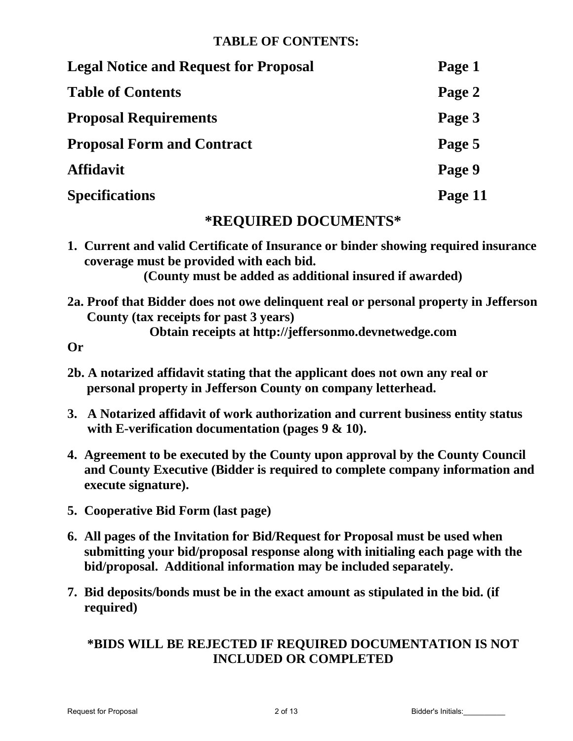# **TABLE OF CONTENTS:**

| <b>Legal Notice and Request for Proposal</b> | Page 1  |
|----------------------------------------------|---------|
| <b>Table of Contents</b>                     | Page 2  |
| <b>Proposal Requirements</b>                 | Page 3  |
| <b>Proposal Form and Contract</b>            | Page 5  |
| <b>Affidavit</b>                             | Page 9  |
| <b>Specifications</b>                        | Page 11 |

# **\*REQUIRED DOCUMENTS\***

**1. Current and valid Certificate of Insurance or binder showing required insurance coverage must be provided with each bid.** 

**(County must be added as additional insured if awarded)** 

**2a. Proof that Bidder does not owe delinquent real or personal property in Jefferson County (tax receipts for past 3 years)** 

**Obtain receipts at http://jeffersonmo.devnetwedge.com** 

**Or**

- **2b. A notarized affidavit stating that the applicant does not own any real or personal property in Jefferson County on company letterhead.**
- **3. A Notarized affidavit of work authorization and current business entity status with E-verification documentation (pages 9 & 10).**
- **4. Agreement to be executed by the County upon approval by the County Council and County Executive (Bidder is required to complete company information and execute signature).**
- **5. Cooperative Bid Form (last page)**
- **6. All pages of the Invitation for Bid/Request for Proposal must be used when submitting your bid/proposal response along with initialing each page with the bid/proposal. Additional information may be included separately.**
- **7. Bid deposits/bonds must be in the exact amount as stipulated in the bid. (if required)**

# **\*BIDS WILL BE REJECTED IF REQUIRED DOCUMENTATION IS NOT INCLUDED OR COMPLETED**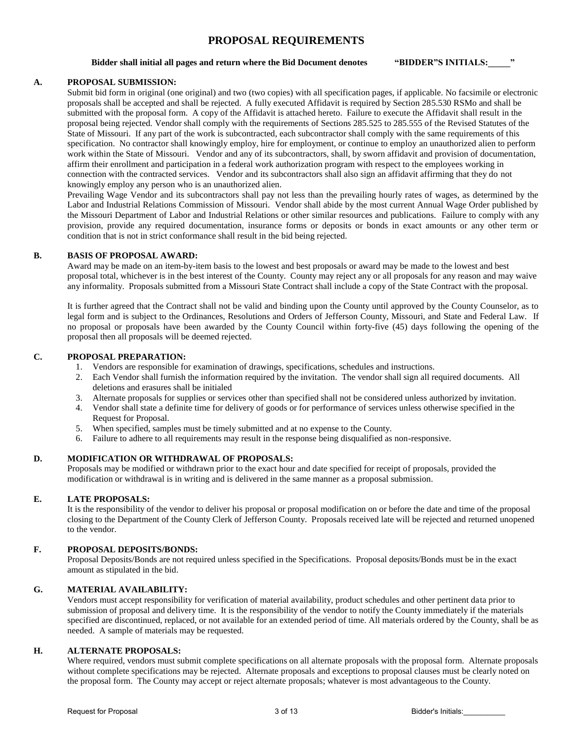# **PROPOSAL REQUIREMENTS**

#### **Bidder shall initial all pages and return where the Bid Document denotes "BIDDER"S INITIALS:\_\_\_\_\_"**

## **A. PROPOSAL SUBMISSION:**

Submit bid form in original (one original) and two (two copies) with all specification pages, if applicable. No facsimile or electronic proposals shall be accepted and shall be rejected. A fully executed Affidavit is required by Section 285.530 RSMo and shall be submitted with the proposal form. A copy of the Affidavit is attached hereto. Failure to execute the Affidavit shall result in the proposal being rejected. Vendor shall comply with the requirements of Sections 285.525 to 285.555 of the Revised Statutes of the State of Missouri. If any part of the work is subcontracted, each subcontractor shall comply with the same requirements of this specification. No contractor shall knowingly employ, hire for employment, or continue to employ an unauthorized alien to perform work within the State of Missouri. Vendor and any of its subcontractors, shall, by sworn affidavit and provision of documentation, affirm their enrollment and participation in a federal work authorization program with respect to the employees working in connection with the contracted services. Vendor and its subcontractors shall also sign an affidavit affirming that they do not knowingly employ any person who is an unauthorized alien.

Prevailing Wage Vendor and its subcontractors shall pay not less than the prevailing hourly rates of wages, as determined by the Labor and Industrial Relations Commission of Missouri. Vendor shall abide by the most current Annual Wage Order published by the Missouri Department of Labor and Industrial Relations or other similar resources and publications. Failure to comply with any provision, provide any required documentation, insurance forms or deposits or bonds in exact amounts or any other term or condition that is not in strict conformance shall result in the bid being rejected.

#### **B. BASIS OF PROPOSAL AWARD:**

Award may be made on an item-by-item basis to the lowest and best proposals or award may be made to the lowest and best proposal total, whichever is in the best interest of the County. County may reject any or all proposals for any reason and may waive any informality. Proposals submitted from a Missouri State Contract shall include a copy of the State Contract with the proposal.

It is further agreed that the Contract shall not be valid and binding upon the County until approved by the County Counselor, as to legal form and is subject to the Ordinances, Resolutions and Orders of Jefferson County, Missouri, and State and Federal Law. If no proposal or proposals have been awarded by the County Council within forty-five (45) days following the opening of the proposal then all proposals will be deemed rejected.

## **C. PROPOSAL PREPARATION:**

- 1. Vendors are responsible for examination of drawings, specifications, schedules and instructions.
- 2. Each Vendor shall furnish the information required by the invitation. The vendor shall sign all required documents. All deletions and erasures shall be initialed
- 3. Alternate proposals for supplies or services other than specified shall not be considered unless authorized by invitation.
- 4. Vendor shall state a definite time for delivery of goods or for performance of services unless otherwise specified in the Request for Proposal.
- 5. When specified, samples must be timely submitted and at no expense to the County.
- 6. Failure to adhere to all requirements may result in the response being disqualified as non-responsive.

## **D. MODIFICATION OR WITHDRAWAL OF PROPOSALS:**

Proposals may be modified or withdrawn prior to the exact hour and date specified for receipt of proposals, provided the modification or withdrawal is in writing and is delivered in the same manner as a proposal submission.

#### **E. LATE PROPOSALS:**

It is the responsibility of the vendor to deliver his proposal or proposal modification on or before the date and time of the proposal closing to the Department of the County Clerk of Jefferson County. Proposals received late will be rejected and returned unopened to the vendor.

#### **F. PROPOSAL DEPOSITS/BONDS:**

Proposal Deposits/Bonds are not required unless specified in the Specifications. Proposal deposits/Bonds must be in the exact amount as stipulated in the bid.

# **G. MATERIAL AVAILABILITY:**

Vendors must accept responsibility for verification of material availability, product schedules and other pertinent data prior to submission of proposal and delivery time. It is the responsibility of the vendor to notify the County immediately if the materials specified are discontinued, replaced, or not available for an extended period of time. All materials ordered by the County, shall be as needed. A sample of materials may be requested.

#### **H. ALTERNATE PROPOSALS:**

Where required, vendors must submit complete specifications on all alternate proposals with the proposal form. Alternate proposals without complete specifications may be rejected. Alternate proposals and exceptions to proposal clauses must be clearly noted on the proposal form. The County may accept or reject alternate proposals; whatever is most advantageous to the County.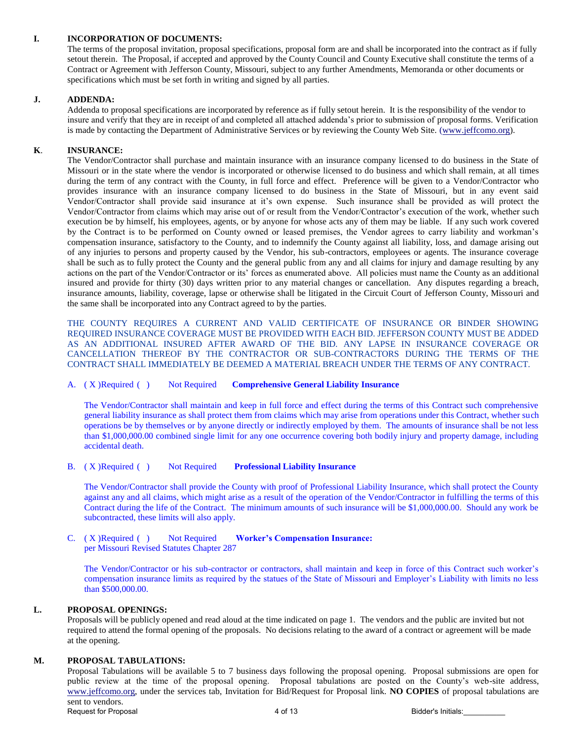# **I. INCORPORATION OF DOCUMENTS:**

 The terms of the proposal invitation, proposal specifications, proposal form are and shall be incorporated into the contract as if fully setout therein.The Proposal, if accepted and approved by the County Council and County Executive shall constitute the terms of a Contract or Agreement with Jefferson County, Missouri, subject to any further Amendments, Memoranda or other documents or specifications which must be set forth in writing and signed by all parties.

## **J. ADDENDA:**

Addenda to proposal specifications are incorporated by reference as if fully setout herein. It is the responsibility of the vendor to insure and verify that they are in receipt of and completed all attached addenda's prior to submission of proposal forms. Verification is made by contacting the Department of Administrative Services or by reviewing the County Web Site. [\(www.jeffcomo.org\)](http://www.jeffcomo.org/).

# **K**. **INSURANCE:**

 The Vendor/Contractor shall purchase and maintain insurance with an insurance company licensed to do business in the State of Missouri or in the state where the vendor is incorporated or otherwise licensed to do business and which shall remain, at all times during the term of any contract with the County, in full force and effect. Preference will be given to a Vendor/Contractor who provides insurance with an insurance company licensed to do business in the State of Missouri, but in any event said Vendor/Contractor shall provide said insurance at it's own expense. Such insurance shall be provided as will protect the Vendor/Contractor from claims which may arise out of or result from the Vendor/Contractor's execution of the work, whether such execution be by himself, his employees, agents, or by anyone for whose acts any of them may be liable. If any such work covered by the Contract is to be performed on County owned or leased premises, the Vendor agrees to carry liability and workman's compensation insurance, satisfactory to the County, and to indemnify the County against all liability, loss, and damage arising out of any injuries to persons and property caused by the Vendor, his sub-contractors, employees or agents. The insurance coverage shall be such as to fully protect the County and the general public from any and all claims for injury and damage resulting by any actions on the part of the Vendor/Contractor or its' forces as enumerated above. All policies must name the County as an additional insured and provide for thirty (30) days written prior to any material changes or cancellation. Any disputes regarding a breach, insurance amounts, liability, coverage, lapse or otherwise shall be litigated in the Circuit Court of Jefferson County, Missouri and the same shall be incorporated into any Contract agreed to by the parties.

 THE COUNTY REQUIRES A CURRENT AND VALID CERTIFICATE OF INSURANCE OR BINDER SHOWING REQUIRED INSURANCE COVERAGE MUST BE PROVIDED WITH EACH BID. JEFFERSON COUNTY MUST BE ADDED AS AN ADDITIONAL INSURED AFTER AWARD OF THE BID. ANY LAPSE IN INSURANCE COVERAGE OR CANCELLATION THEREOF BY THE CONTRACTOR OR SUB-CONTRACTORS DURING THE TERMS OF THE CONTRACT SHALL IMMEDIATELY BE DEEMED A MATERIAL BREACH UNDER THE TERMS OF ANY CONTRACT.

## A. ( X ) Required ( ) Not Required **Comprehensive General Liability Insurance**

 The Vendor/Contractor shall maintain and keep in full force and effect during the terms of this Contract such comprehensive general liability insurance as shall protect them from claims which may arise from operations under this Contract, whether such operations be by themselves or by anyone directly or indirectly employed by them. The amounts of insurance shall be not less than \$1,000,000.00 combined single limit for any one occurrence covering both bodily injury and property damage, including accidental death.

#### B. ( X ) Required ( ) Not Required **Professional Liability Insurance**

 The Vendor/Contractor shall provide the County with proof of Professional Liability Insurance, which shall protect the County against any and all claims, which might arise as a result of the operation of the Vendor/Contractor in fulfilling the terms of this Contract during the life of the Contract. The minimum amounts of such insurance will be \$1,000,000.00. Should any work be subcontracted, these limits will also apply.

#### C. ( X ) Required ( ) Not Required **Worker's Compensation Insurance:**  per Missouri Revised Statutes Chapter 287

 The Vendor/Contractor or his sub-contractor or contractors, shall maintain and keep in force of this Contract such worker's compensation insurance limits as required by the statues of the State of Missouri and Employer's Liability with limits no less than \$500,000.00.

### **L. PROPOSAL OPENINGS:**

Proposals will be publicly opened and read aloud at the time indicated on page 1. The vendors and the public are invited but not required to attend the formal opening of the proposals. No decisions relating to the award of a contract or agreement will be made at the opening.

# **M. PROPOSAL TABULATIONS:**

Proposal Tabulations will be available 5 to 7 business days following the proposal opening. Proposal submissions are open for public review at the time of the proposal opening. Proposal tabulations are posted on the County's web-site address, [www.jeffcomo.org,](http://www.jeffcomo.org/) under the services tab, Invitation for Bid/Request for Proposal link. **NO COPIES** of proposal tabulations are sent to vendors. Request for Proposal and the set of the set of 13 and the Bidder's Initials: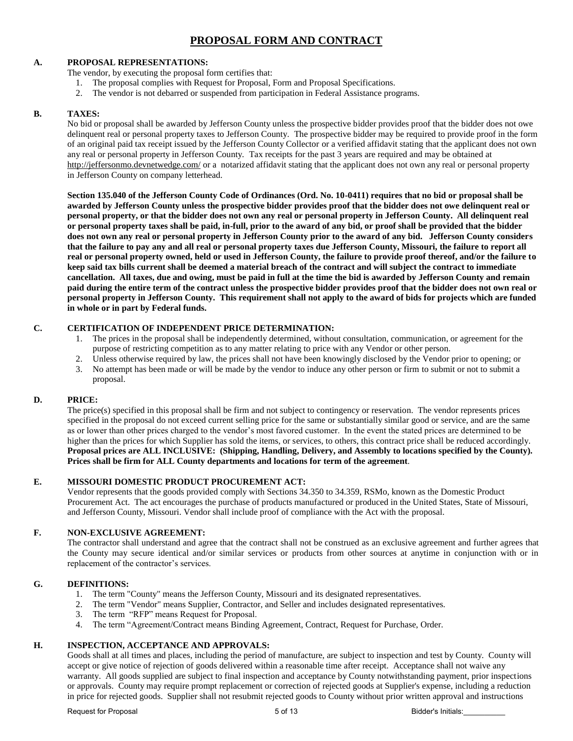# **PROPOSAL FORM AND CONTRACT**

# **A. PROPOSAL REPRESENTATIONS:**

The vendor, by executing the proposal form certifies that:

- 1. The proposal complies with Request for Proposal, Form and Proposal Specifications.
- 2. The vendor is not debarred or suspended from participation in Federal Assistance programs.

# **B. TAXES:**

No bid or proposal shall be awarded by Jefferson County unless the prospective bidder provides proof that the bidder does not owe delinquent real or personal property taxes to Jefferson County. The prospective bidder may be required to provide proof in the form of an original paid tax receipt issued by the Jefferson County Collector or a verified affidavit stating that the applicant does not own any real or personal property in Jefferson County. Tax receipts for the past 3 years are required and may be obtained at [http://jeffersonmo.devnetwedge.com/ o](http://jeffersonmo.devnetwedge.com/)r a notarized affidavit stating that the applicant does not own any real or personal property in Jefferson County on company letterhead.

**Section 135.040 of the Jefferson County Code of Ordinances (Ord. No. 10-0411) requires that no bid or proposal shall be awarded by Jefferson County unless the prospective bidder provides proof that the bidder does not owe delinquent real or personal property, or that the bidder does not own any real or personal property in Jefferson County. All delinquent real or personal property taxes shall be paid, in-full, prior to the award of any bid, or proof shall be provided that the bidder does not own any real or personal property in Jefferson County prior to the award of any bid. Jefferson County considers that the failure to pay any and all real or personal property taxes due Jefferson County, Missouri, the failure to report all real or personal property owned, held or used in Jefferson County, the failure to provide proof thereof, and/or the failure to keep said tax bills current shall be deemed a material breach of the contract and will subject the contract to immediate cancellation. All taxes, due and owing, must be paid in full at the time the bid is awarded by Jefferson County and remain paid during the entire term of the contract unless the prospective bidder provides proof that the bidder does not own real or personal property in Jefferson County. This requirement shall not apply to the award of bids for projects which are funded in whole or in part by Federal funds.** 

## **C. CERTIFICATION OF INDEPENDENT PRICE DETERMINATION:**

- 1. The prices in the proposal shall be independently determined, without consultation, communication, or agreement for the purpose of restricting competition as to any matter relating to price with any Vendor or other person.
- 2. Unless otherwise required by law, the prices shall not have been knowingly disclosed by the Vendor prior to opening; or
- 3. No attempt has been made or will be made by the vendor to induce any other person or firm to submit or not to submit a proposal.

# **D. PRICE:**

The price(s) specified in this proposal shall be firm and not subject to contingency or reservation. The vendor represents prices specified in the proposal do not exceed current selling price for the same or substantially similar good or service, and are the same as or lower than other prices charged to the vendor's most favored customer. In the event the stated prices are determined to be higher than the prices for which Supplier has sold the items, or services, to others, this contract price shall be reduced accordingly. **Proposal prices are ALL INCLUSIVE: (Shipping, Handling, Delivery, and Assembly to locations specified by the County). Prices shall be firm for ALL County departments and locations for term of the agreement**.

# **E. MISSOURI DOMESTIC PRODUCT PROCUREMENT ACT:**

Vendor represents that the goods provided comply with Sections 34.350 to 34.359, RSMo, known as the Domestic Product Procurement Act. The act encourages the purchase of products manufactured or produced in the United States, State of Missouri, and Jefferson County, Missouri. Vendor shall include proof of compliance with the Act with the proposal.

# **F. NON-EXCLUSIVE AGREEMENT:**

The contractor shall understand and agree that the contract shall not be construed as an exclusive agreement and further agrees that the County may secure identical and/or similar services or products from other sources at anytime in conjunction with or in replacement of the contractor's services.

# **G. DEFINITIONS:**

- 1. The term "County" means the Jefferson County, Missouri and its designated representatives.<br>2. The term "Vendor" means Supplier. Contractor, and Seller and includes designated represent
- 2. The term "Vendor" means Supplier, Contractor, and Seller and includes designated representatives.
- 3. The term "RFP" means Request for Proposal.
- 4. The term "Agreement/Contract means Binding Agreement, Contract, Request for Purchase, Order.

# **H. INSPECTION, ACCEPTANCE AND APPROVALS:**

Goods shall at all times and places, including the period of manufacture, are subject to inspection and test by County. County will accept or give notice of rejection of goods delivered within a reasonable time after receipt. Acceptance shall not waive any warranty. All goods supplied are subject to final inspection and acceptance by County notwithstanding payment, prior inspections or approvals. County may require prompt replacement or correction of rejected goods at Supplier's expense, including a reduction in price for rejected goods. Supplier shall not resubmit rejected goods to County without prior written approval and instructions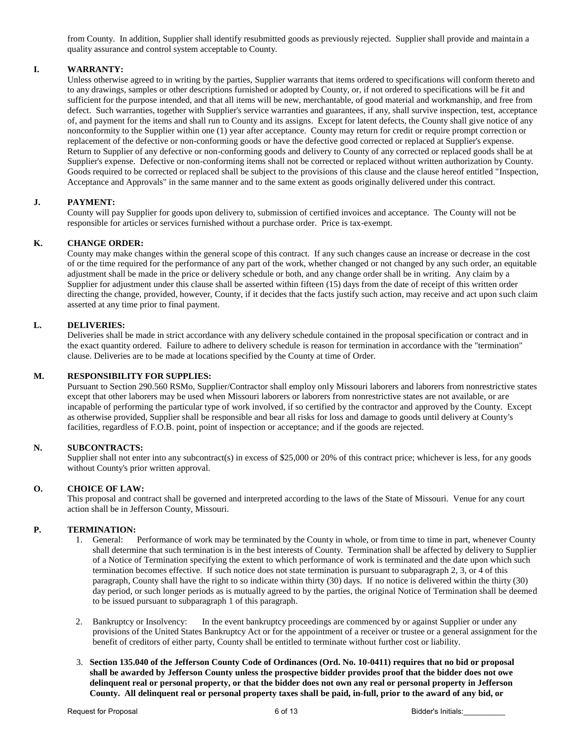from County. In addition, Supplier shall identify resubmitted goods as previously rejected. Supplier shall provide and maintain a quality assurance and control system acceptable to County.

# **I. WARRANTY:**

Unless otherwise agreed to in writing by the parties, Supplier warrants that items ordered to specifications will conform thereto and to any drawings, samples or other descriptions furnished or adopted by County, or, if not ordered to specifications will be fit and sufficient for the purpose intended, and that all items will be new, merchantable, of good material and workmanship, and free from defect. Such warranties, together with Supplier's service warranties and guarantees, if any, shall survive inspection, test, acceptance of, and payment for the items and shall run to County and its assigns. Except for latent defects, the County shall give notice of any nonconformity to the Supplier within one (1) year after acceptance. County may return for credit or require prompt correction or replacement of the defective or non-conforming goods or have the defective good corrected or replaced at Supplier's expense. Return to Supplier of any defective or non-conforming goods and delivery to County of any corrected or replaced goods shall be at Supplier's expense. Defective or non-conforming items shall not be corrected or replaced without written authorization by County. Goods required to be corrected or replaced shall be subject to the provisions of this clause and the clause hereof entitled "Inspection, Acceptance and Approvals" in the same manner and to the same extent as goods originally delivered under this contract.

## **J. PAYMENT:**

County will pay Supplier for goods upon delivery to, submission of certified invoices and acceptance. The County will not be responsible for articles or services furnished without a purchase order. Price is tax-exempt.

## **K. CHANGE ORDER:**

County may make changes within the general scope of this contract. If any such changes cause an increase or decrease in the cost of or the time required for the performance of any part of the work, whether changed or not changed by any such order, an equitable adjustment shall be made in the price or delivery schedule or both, and any change order shall be in writing. Any claim by a Supplier for adjustment under this clause shall be asserted within fifteen (15) days from the date of receipt of this written order directing the change, provided, however, County, if it decides that the facts justify such action, may receive and act upon such claim asserted at any time prior to final payment.

## **L. DELIVERIES:**

Deliveries shall be made in strict accordance with any delivery schedule contained in the proposal specification or contract and in the exact quantity ordered. Failure to adhere to delivery schedule is reason for termination in accordance with the "termination" clause. Deliveries are to be made at locations specified by the County at time of Order.

### **M. RESPONSIBILITY FOR SUPPLIES:**

Pursuant to Section 290.560 RSMo, Supplier/Contractor shall employ only Missouri laborers and laborers from nonrestrictive states except that other laborers may be used when Missouri laborers or laborers from nonrestrictive states are not available, or are incapable of performing the particular type of work involved, if so certified by the contractor and approved by the County. Except as otherwise provided, Supplier shall be responsible and bear all risks for loss and damage to goods until delivery at County's facilities, regardless of F.O.B. point, point of inspection or acceptance; and if the goods are rejected.

#### **N. SUBCONTRACTS:**

Supplier shall not enter into any subcontract(s) in excess of \$25,000 or 20% of this contract price; whichever is less, for any goods without County's prior written approval.

#### **O. CHOICE OF LAW:**

This proposal and contract shall be governed and interpreted according to the laws of the State of Missouri. Venue for any court action shall be in Jefferson County, Missouri.

# **P. TERMINATION: 1.** General:

- Performance of work may be terminated by the County in whole, or from time to time in part, whenever County shall determine that such termination is in the best interests of County. Termination shall be affected by delivery to Supplier of a Notice of Termination specifying the extent to which performance of work is terminated and the date upon which such termination becomes effective. If such notice does not state termination is pursuant to subparagraph 2, 3, or 4 of this paragraph, County shall have the right to so indicate within thirty (30) days. If no notice is delivered within the thirty (30) day period, or such longer periods as is mutually agreed to by the parties, the original Notice of Termination shall be deemed to be issued pursuant to subparagraph 1 of this paragraph.
- 2. Bankruptcy or Insolvency: In the event bankruptcy proceedings are commenced by or against Supplier or under any provisions of the United States Bankruptcy Act or for the appointment of a receiver or trustee or a general assignment for the benefit of creditors of either party, County shall be entitled to terminate without further cost or liability.
- 3. **Section 135.040 of the Jefferson County Code of Ordinances (Ord. No. 10-0411) requires that no bid or proposal shall be awarded by Jefferson County unless the prospective bidder provides proof that the bidder does not owe delinquent real or personal property, or that the bidder does not own any real or personal property in Jefferson County. All delinquent real or personal property taxes shall be paid, in-full, prior to the award of any bid, or**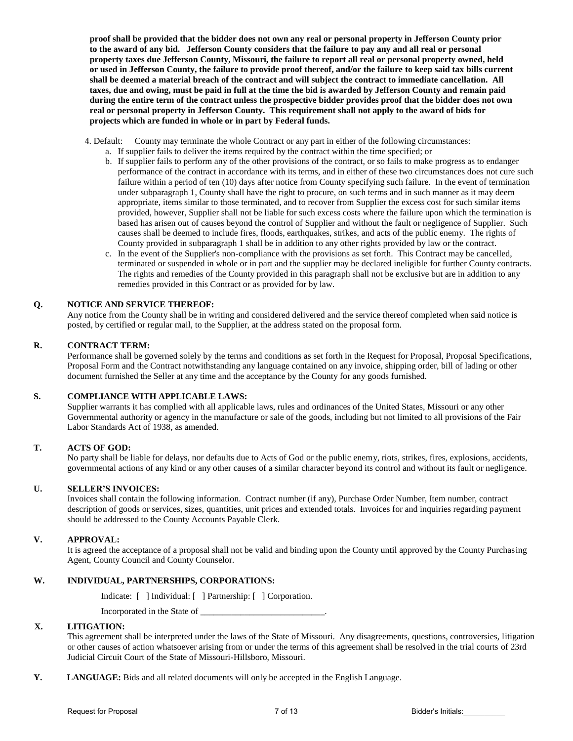**proof shall be provided that the bidder does not own any real or personal property in Jefferson County prior to the award of any bid. Jefferson County considers that the failure to pay any and all real or personal property taxes due Jefferson County, Missouri, the failure to report all real or personal property owned, held or used in Jefferson County, the failure to provide proof thereof, and/or the failure to keep said tax bills current shall be deemed a material breach of the contract and will subject the contract to immediate cancellation. All taxes, due and owing, must be paid in full at the time the bid is awarded by Jefferson County and remain paid during the entire term of the contract unless the prospective bidder provides proof that the bidder does not own real or personal property in Jefferson County. This requirement shall not apply to the award of bids for projects which are funded in whole or in part by Federal funds.** 

- 4. Default: County may terminate the whole Contract or any part in either of the following circumstances:
	- a. If supplier fails to deliver the items required by the contract within the time specified; or
		- b. If supplier fails to perform any of the other provisions of the contract, or so fails to make progress as to endanger performance of the contract in accordance with its terms, and in either of these two circumstances does not cure such failure within a period of ten (10) days after notice from County specifying such failure. In the event of termination under subparagraph 1, County shall have the right to procure, on such terms and in such manner as it may deem appropriate, items similar to those terminated, and to recover from Supplier the excess cost for such similar items provided, however, Supplier shall not be liable for such excess costs where the failure upon which the termination is based has arisen out of causes beyond the control of Supplier and without the fault or negligence of Supplier. Such causes shall be deemed to include fires, floods, earthquakes, strikes, and acts of the public enemy. The rights of County provided in subparagraph 1 shall be in addition to any other rights provided by law or the contract.
		- c. In the event of the Supplier's non-compliance with the provisions as set forth. This Contract may be cancelled, terminated or suspended in whole or in part and the supplier may be declared ineligible for further County contracts. The rights and remedies of the County provided in this paragraph shall not be exclusive but are in addition to any remedies provided in this Contract or as provided for by law.

### **Q. NOTICE AND SERVICE THEREOF:**

Any notice from the County shall be in writing and considered delivered and the service thereof completed when said notice is posted, by certified or regular mail, to the Supplier, at the address stated on the proposal form.

## **R. CONTRACT TERM:**

Performance shall be governed solely by the terms and conditions as set forth in the Request for Proposal, Proposal Specifications, Proposal Form and the Contract notwithstanding any language contained on any invoice, shipping order, bill of lading or other document furnished the Seller at any time and the acceptance by the County for any goods furnished.

# **S. COMPLIANCE WITH APPLICABLE LAWS:**

Supplier warrants it has complied with all applicable laws, rules and ordinances of the United States, Missouri or any other Governmental authority or agency in the manufacture or sale of the goods, including but not limited to all provisions of the Fair Labor Standards Act of 1938, as amended.

## **T. ACTS OF GOD:**

No party shall be liable for delays, nor defaults due to Acts of God or the public enemy, riots, strikes, fires, explosions, accidents, governmental actions of any kind or any other causes of a similar character beyond its control and without its fault or negligence.

#### **U. SELLER'S INVOICES:**

Invoices shall contain the following information. Contract number (if any), Purchase Order Number, Item number, contract description of goods or services, sizes, quantities, unit prices and extended totals. Invoices for and inquiries regarding payment should be addressed to the County Accounts Payable Clerk.

#### **V. APPROVAL:**

It is agreed the acceptance of a proposal shall not be valid and binding upon the County until approved by the County Purchasing Agent, County Council and County Counselor.

#### **W. INDIVIDUAL, PARTNERSHIPS, CORPORATIONS:**

Indicate: [ ] Individual: [ ] Partnership: [ ] Corporation.

Incorporated in the State of \_\_\_\_\_\_\_\_\_\_\_\_\_\_\_\_\_\_\_\_\_\_\_\_\_\_\_\_.

### **X. LITIGATION:**

This agreement shall be interpreted under the laws of the State of Missouri. Any disagreements, questions, controversies, litigation or other causes of action whatsoever arising from or under the terms of this agreement shall be resolved in the trial courts of 23rd Judicial Circuit Court of the State of Missouri-Hillsboro, Missouri.

**Y. LANGUAGE:** Bids and all related documents will only be accepted in the English Language.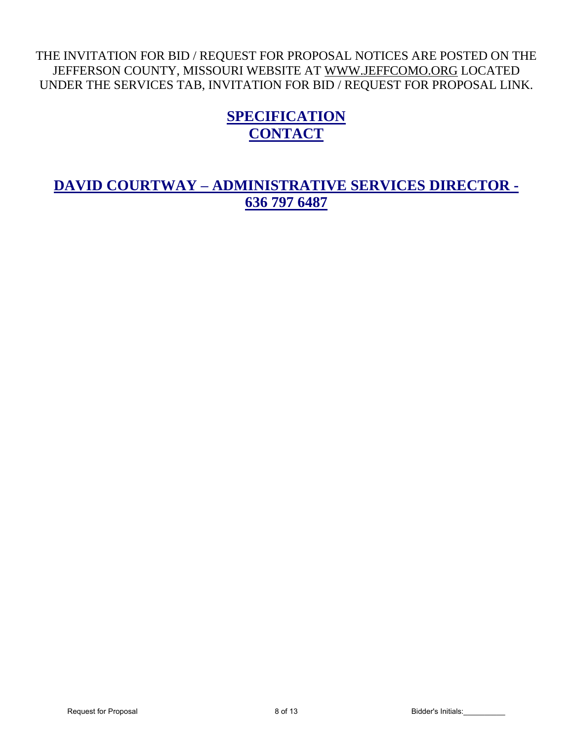# THE INVITATION FOR BID / REQUEST FOR PROPOSAL NOTICES ARE POSTED ON THE JEFFERSON COUNTY, MISSOURI WEBSITE AT [WWW.JEFFCOMO.ORG](http://www.jeffcomo.org/) LOCATED UNDER THE SERVICES TAB, INVITATION FOR BID / REQUEST FOR PROPOSAL LINK.

# **SPECIFICATION CONTACT**

**DAVID COURTWAY – ADMINISTRATIVE SERVICES DIRECTOR - 636 797 6487**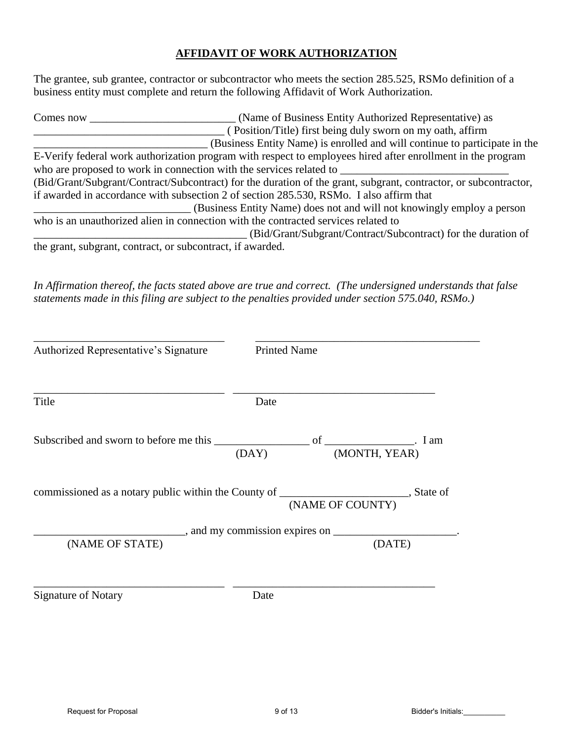# **AFFIDAVIT OF WORK AUTHORIZATION**

The grantee, sub grantee, contractor or subcontractor who meets the section 285.525, RSMo definition of a business entity must complete and return the following Affidavit of Work Authorization.

| Comes now                                                  | (Name of Business Entity Authorized Representative) as                                                           |
|------------------------------------------------------------|------------------------------------------------------------------------------------------------------------------|
|                                                            | (Position/Title) first being duly sworn on my oath, affirm                                                       |
|                                                            | (Business Entity Name) is enrolled and will continue to participate in the                                       |
|                                                            | E-Verify federal work authorization program with respect to employees hired after enrollment in the program      |
|                                                            | who are proposed to work in connection with the services related to                                              |
|                                                            | (Bid/Grant/Subgrant/Contract/Subcontract) for the duration of the grant, subgrant, contractor, or subcontractor, |
|                                                            | if awarded in accordance with subsection 2 of section 285.530, RSMo. I also affirm that                          |
|                                                            | (Business Entity Name) does not and will not knowingly employ a person                                           |
|                                                            | who is an unauthorized alien in connection with the contracted services related to                               |
|                                                            | (Bid/Grant/Subgrant/Contract/Subcontract) for the duration of                                                    |
| the grant, subgrant, contract, or subcontract, if awarded. |                                                                                                                  |

*In Affirmation thereof, the facts stated above are true and correct. (The undersigned understands that false statements made in this filing are subject to the penalties provided under section 575.040, RSMo.)* 

| Authorized Representative's Signature                                                      | <b>Printed Name</b> |                                              |        |
|--------------------------------------------------------------------------------------------|---------------------|----------------------------------------------|--------|
| Title                                                                                      | Date                |                                              |        |
|                                                                                            |                     | (DAY) (MONTH, YEAR)                          |        |
| commissioned as a notary public within the County of ___________________________, State of |                     | (NAME OF COUNTY)                             |        |
| (NAME OF STATE)                                                                            |                     | $\Box$ , and my commission expires on $\Box$ | (DATE) |
| <b>Signature of Notary</b>                                                                 | Date                |                                              |        |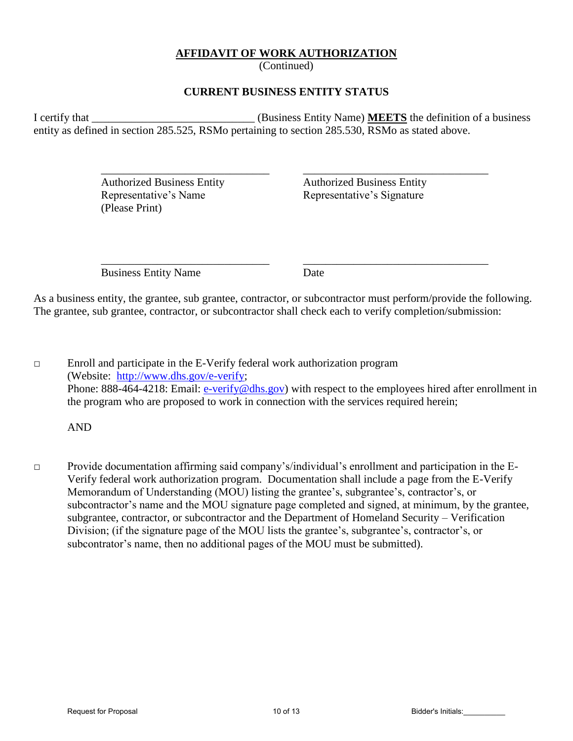# **AFFIDAVIT OF WORK AUTHORIZATION**

(Continued)

# **CURRENT BUSINESS ENTITY STATUS**

I certify that **I** certify that **I** certify that **I** certify that **I** certify that **I** certify that **I** certify that **I** certify that **I** certify that **I** certify that **I** certify that **I** certify that **I** certify that **I** entity as defined in section 285.525, RSMo pertaining to section 285.530, RSMo as stated above.

 $\overline{\phantom{a}}$  ,  $\overline{\phantom{a}}$  ,  $\overline{\phantom{a}}$  ,  $\overline{\phantom{a}}$  ,  $\overline{\phantom{a}}$  ,  $\overline{\phantom{a}}$  ,  $\overline{\phantom{a}}$  ,  $\overline{\phantom{a}}$  ,  $\overline{\phantom{a}}$  ,  $\overline{\phantom{a}}$  ,  $\overline{\phantom{a}}$  ,  $\overline{\phantom{a}}$  ,  $\overline{\phantom{a}}$  ,  $\overline{\phantom{a}}$  ,  $\overline{\phantom{a}}$  ,  $\overline{\phantom{a}}$ 

 $\overline{\phantom{a}}$  ,  $\overline{\phantom{a}}$  ,  $\overline{\phantom{a}}$  ,  $\overline{\phantom{a}}$  ,  $\overline{\phantom{a}}$  ,  $\overline{\phantom{a}}$  ,  $\overline{\phantom{a}}$  ,  $\overline{\phantom{a}}$  ,  $\overline{\phantom{a}}$  ,  $\overline{\phantom{a}}$  ,  $\overline{\phantom{a}}$  ,  $\overline{\phantom{a}}$  ,  $\overline{\phantom{a}}$  ,  $\overline{\phantom{a}}$  ,  $\overline{\phantom{a}}$  ,  $\overline{\phantom{a}}$ 

 Authorized Business Entity Authorized Business Entity Representative's Name Representative's Signature (Please Print)

Business Entity Name Date

As a business entity, the grantee, sub grantee, contractor, or subcontractor must perform/provide the following. The grantee, sub grantee, contractor, or subcontractor shall check each to verify completion/submission:

 $\Box$  Enroll and participate in the E-Verify federal work authorization program (Website: [http://www.dhs.gov/e-verify;](http://www.dhs.gov/e-verify) Phone: 888-464-4218: Email: [e-verify@dhs.gov\)](mailto:e-verify@dhs.gov) with respect to the employees hired after enrollment in the program who are proposed to work in connection with the services required herein;

AND

□ Provide documentation affirming said company's/individual's enrollment and participation in the E-Verify federal work authorization program. Documentation shall include a page from the E-Verify Memorandum of Understanding (MOU) listing the grantee's, subgrantee's, contractor's, or subcontractor's name and the MOU signature page completed and signed, at minimum, by the grantee, subgrantee, contractor, or subcontractor and the Department of Homeland Security – Verification Division; (if the signature page of the MOU lists the grantee's, subgrantee's, contractor's, or subcontrator's name, then no additional pages of the MOU must be submitted).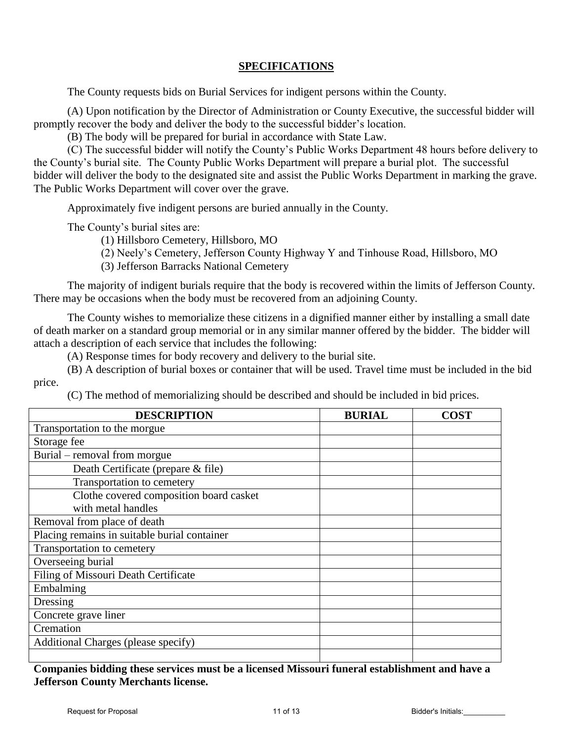# **SPECIFICATIONS**

The County requests bids on Burial Services for indigent persons within the County.

 (A) Upon notification by the Director of Administration or County Executive, the successful bidder will promptly recover the body and deliver the body to the successful bidder's location.

(B) The body will be prepared for burial in accordance with State Law.

(C) The successful bidder will notify the County's Public Works Department 48 hours before delivery to the County's burial site. The County Public Works Department will prepare a burial plot. The successful bidder will deliver the body to the designated site and assist the Public Works Department in marking the grave. The Public Works Department will cover over the grave.

Approximately five indigent persons are buried annually in the County.

The County's burial sites are:

(1) Hillsboro Cemetery, Hillsboro, MO

(2) Neely's Cemetery, Jefferson County Highway Y and Tinhouse Road, Hillsboro, MO

(3) Jefferson Barracks National Cemetery

 The majority of indigent burials require that the body is recovered within the limits of Jefferson County. There may be occasions when the body must be recovered from an adjoining County.

 The County wishes to memorialize these citizens in a dignified manner either by installing a small date of death marker on a standard group memorial or in any similar manner offered by the bidder. The bidder will attach a description of each service that includes the following:

(A) Response times for body recovery and delivery to the burial site.

 (B) A description of burial boxes or container that will be used. Travel time must be included in the bid price.

(C) The method of memorializing should be described and should be included in bid prices.

| <b>DESCRIPTION</b>                           | <b>BURIAL</b> | <b>COST</b> |
|----------------------------------------------|---------------|-------------|
| Transportation to the morgue                 |               |             |
| Storage fee                                  |               |             |
| Burial – removal from morgue                 |               |             |
| Death Certificate (prepare & file)           |               |             |
| Transportation to cemetery                   |               |             |
| Clothe covered composition board casket      |               |             |
| with metal handles                           |               |             |
| Removal from place of death                  |               |             |
| Placing remains in suitable burial container |               |             |
| Transportation to cemetery                   |               |             |
| Overseeing burial                            |               |             |
| Filing of Missouri Death Certificate         |               |             |
| Embalming                                    |               |             |
| Dressing                                     |               |             |
| Concrete grave liner                         |               |             |
| Cremation                                    |               |             |
| Additional Charges (please specify)          |               |             |
|                                              |               |             |

**Companies bidding these services must be a licensed Missouri funeral establishment and have a Jefferson County Merchants license.**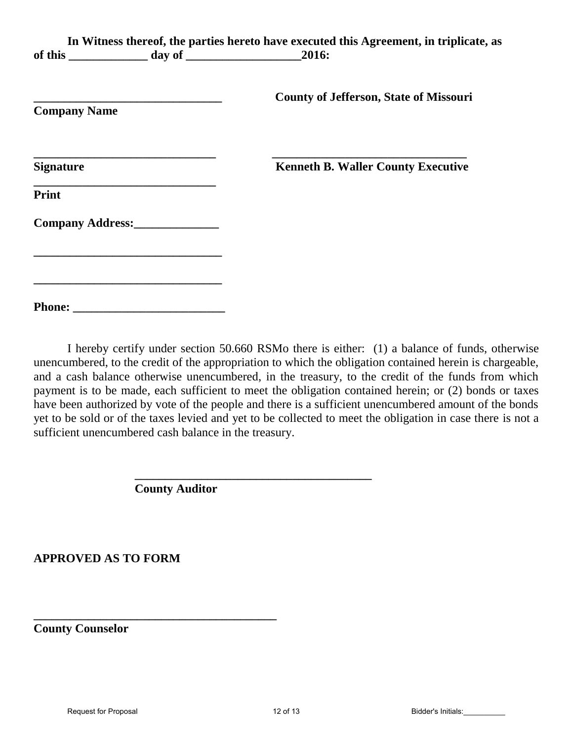|                                                                                                                       | In Witness thereof, the parties hereto have executed this Agreement, in triplicate, as |
|-----------------------------------------------------------------------------------------------------------------------|----------------------------------------------------------------------------------------|
| <b>Company Name</b>                                                                                                   | <b>County of Jefferson, State of Missouri</b>                                          |
| <b>Signature</b>                                                                                                      | <b>Kenneth B. Waller County Executive</b>                                              |
| Print                                                                                                                 |                                                                                        |
| Company Address:                                                                                                      |                                                                                        |
| <u> 1989 - Johann John Stoff, deutscher Stoffen und der Stoffen und der Stoffen und der Stoffen und der Stoffen u</u> |                                                                                        |
|                                                                                                                       |                                                                                        |

I hereby certify under section 50.660 RSMo there is either: (1) a balance of funds, otherwise unencumbered, to the credit of the appropriation to which the obligation contained herein is chargeable, and a cash balance otherwise unencumbered, in the treasury, to the credit of the funds from which payment is to be made, each sufficient to meet the obligation contained herein; or (2) bonds or taxes have been authorized by vote of the people and there is a sufficient unencumbered amount of the bonds yet to be sold or of the taxes levied and yet to be collected to meet the obligation in case there is not a sufficient unencumbered cash balance in the treasury.

**County Auditor** 

**\_\_\_\_\_\_\_\_\_\_\_\_\_\_\_\_\_\_\_\_\_\_\_\_\_\_\_\_\_\_\_\_\_\_\_\_\_\_\_\_** 

**\_\_\_\_\_\_\_\_\_\_\_\_\_\_\_\_\_\_\_\_\_\_\_\_\_\_\_\_\_\_\_\_\_\_\_\_\_\_\_** 

**APPROVED AS TO FORM** 

**County Counselor**